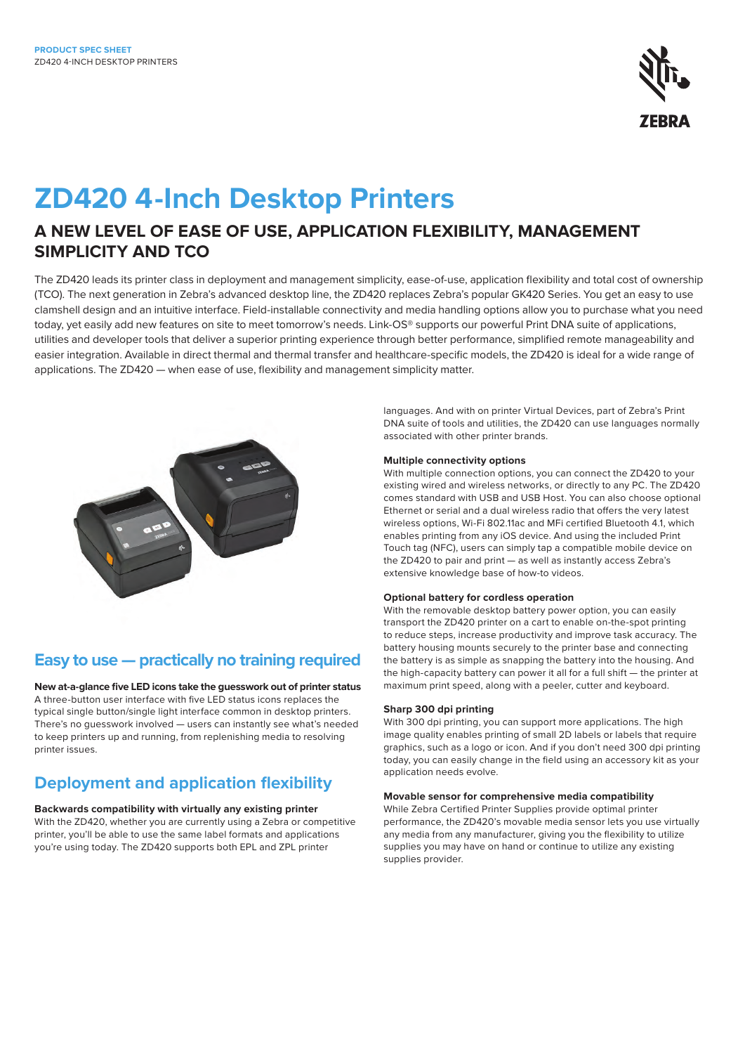

# **ZD420 4-Inch Desktop Printers**

# **A NEW LEVEL OF EASE OF USE, APPLICATION FLEXIBILITY, MANAGEMENT SIMPLICITY AND TCO**

The ZD420 leads its printer class in deployment and management simplicity, ease-of-use, application flexibility and total cost of ownership (TCO). The next generation in Zebra's advanced desktop line, the ZD420 replaces Zebra's popular GK420 Series. You get an easy to use clamshell design and an intuitive interface. Field-installable connectivity and media handling options allow you to purchase what you need today, yet easily add new features on site to meet tomorrow's needs. Link-OS® supports our powerful Print DNA suite of applications, utilities and developer tools that deliver a superior printing experience through better performance, simplified remote manageability and easier integration. Available in direct thermal and thermal transfer and healthcare-specific models, the ZD420 is ideal for a wide range of applications. The ZD420 — when ease of use, flexibility and management simplicity matter.



# **Easy to use — practically no training required**

**New at-a-glance five LED icons take the guesswork out of printer status** A three-button user interface with five LED status icons replaces the typical single button/single light interface common in desktop printers. There's no guesswork involved — users can instantly see what's needed to keep printers up and running, from replenishing media to resolving printer issues.

# **Deployment and application flexibility**

**Backwards compatibility with virtually any existing printer** With the ZD420, whether you are currently using a Zebra or competitive printer, you'll be able to use the same label formats and applications you're using today. The ZD420 supports both EPL and ZPL printer

languages. And with on printer Virtual Devices, part of Zebra's Print DNA suite of tools and utilities, the ZD420 can use languages normally associated with other printer brands.

# **Multiple connectivity options**

With multiple connection options, you can connect the ZD420 to your existing wired and wireless networks, or directly to any PC. The ZD420 comes standard with USB and USB Host. You can also choose optional Ethernet or serial and a dual wireless radio that offers the very latest wireless options, Wi-Fi 802.11ac and MFi certified Bluetooth 4.1, which enables printing from any iOS device. And using the included Print Touch tag (NFC), users can simply tap a compatible mobile device on the ZD420 to pair and print — as well as instantly access Zebra's extensive knowledge base of how-to videos.

## **Optional battery for cordless operation**

With the removable desktop battery power option, you can easily transport the ZD420 printer on a cart to enable on-the-spot printing to reduce steps, increase productivity and improve task accuracy. The battery housing mounts securely to the printer base and connecting the battery is as simple as snapping the battery into the housing. And the high-capacity battery can power it all for a full shift — the printer at maximum print speed, along with a peeler, cutter and keyboard.

## **Sharp 300 dpi printing**

With 300 dpi printing, you can support more applications. The high image quality enables printing of small 2D labels or labels that require graphics, such as a logo or icon. And if you don't need 300 dpi printing today, you can easily change in the field using an accessory kit as your application needs evolve.

#### **Movable sensor for comprehensive media compatibility**

While Zebra Certified Printer Supplies provide optimal printer performance, the ZD420's movable media sensor lets you use virtually any media from any manufacturer, giving you the flexibility to utilize supplies you may have on hand or continue to utilize any existing supplies provider.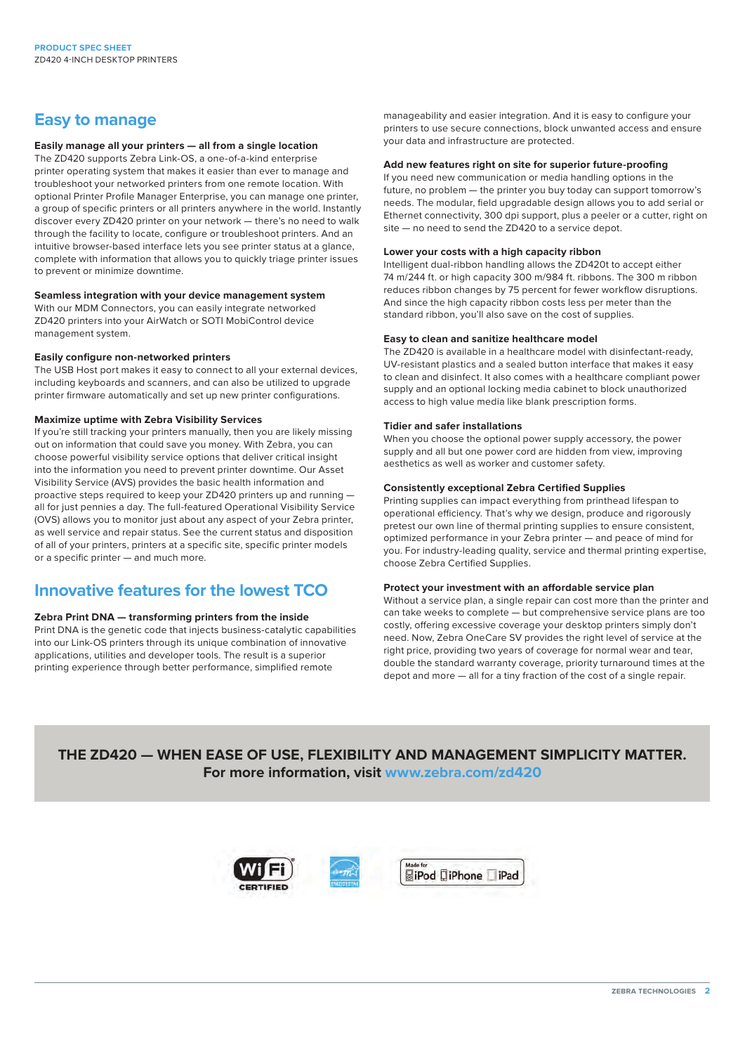# **Easy to manage**

# **Easily manage all your printers — all from a single location**

The ZD420 supports Zebra Link-OS, a one-of-a-kind enterprise printer operating system that makes it easier than ever to manage and troubleshoot your networked printers from one remote location. With optional Printer Profile Manager Enterprise, you can manage one printer, a group of specific printers or all printers anywhere in the world. Instantly discover every ZD420 printer on your network — there's no need to walk through the facility to locate, configure or troubleshoot printers. And an intuitive browser-based interface lets you see printer status at a glance, complete with information that allows you to quickly triage printer issues to prevent or minimize downtime.

#### **Seamless integration with your device management system**

With our MDM Connectors, you can easily integrate networked ZD420 printers into your AirWatch or SOTI MobiControl device management system.

### **Easily configure non-networked printers**

The USB Host port makes it easy to connect to all your external devices, including keyboards and scanners, and can also be utilized to upgrade printer firmware automatically and set up new printer configurations.

# **Maximize uptime with Zebra Visibility Services**

If you're still tracking your printers manually, then you are likely missing out on information that could save you money. With Zebra, you can choose powerful visibility service options that deliver critical insight into the information you need to prevent printer downtime. Our Asset Visibility Service (AVS) provides the basic health information and proactive steps required to keep your ZD420 printers up and running all for just pennies a day. The full-featured Operational Visibility Service (OVS) allows you to monitor just about any aspect of your Zebra printer, as well service and repair status. See the current status and disposition of all of your printers, printers at a specific site, specific printer models or a specific printer — and much more.

# **Innovative features for the lowest TCO**

## **Zebra Print DNA — transforming printers from the inside**

Print DNA is the genetic code that injects business-catalytic capabilities into our Link-OS printers through its unique combination of innovative applications, utilities and developer tools. The result is a superior printing experience through better performance, simplified remote

manageability and easier integration. And it is easy to configure your printers to use secure connections, block unwanted access and ensure your data and infrastructure are protected.

#### **Add new features right on site for superior future-proofing**

If you need new communication or media handling options in the future, no problem — the printer you buy today can support tomorrow's needs. The modular, field upgradable design allows you to add serial or Ethernet connectivity, 300 dpi support, plus a peeler or a cutter, right on site — no need to send the ZD420 to a service depot.

### **Lower your costs with a high capacity ribbon**

Intelligent dual-ribbon handling allows the ZD420t to accept either 74 m/244 ft. or high capacity 300 m/984 ft. ribbons. The 300 m ribbon reduces ribbon changes by 75 percent for fewer workflow disruptions. And since the high capacity ribbon costs less per meter than the standard ribbon, you'll also save on the cost of supplies.

### **Easy to clean and sanitize healthcare model**

The ZD420 is available in a healthcare model with disinfectant-ready, UV-resistant plastics and a sealed button interface that makes it easy to clean and disinfect. It also comes with a healthcare compliant power supply and an optional locking media cabinet to block unauthorized access to high value media like blank prescription forms.

### **Tidier and safer installations**

When you choose the optional power supply accessory, the power supply and all but one power cord are hidden from view, improving aesthetics as well as worker and customer safety.

## **Consistently exceptional Zebra Certified Supplies**

Printing supplies can impact everything from printhead lifespan to operational efficiency. That's why we design, produce and rigorously pretest our own line of thermal printing supplies to ensure consistent, optimized performance in your Zebra printer — and peace of mind for you. For industry-leading quality, service and thermal printing expertise, choose Zebra Certified Supplies.

## **Protect your investment with an affordable service plan**

Without a service plan, a single repair can cost more than the printer and can take weeks to complete — but comprehensive service plans are too costly, offering excessive coverage your desktop printers simply don't need. Now, Zebra OneCare SV provides the right level of service at the right price, providing two years of coverage for normal wear and tear, double the standard warranty coverage, priority turnaround times at the depot and more — all for a tiny fraction of the cost of a single repair.

# **THE ZD420 — WHEN EASE OF USE, FLEXIBILITY AND MANAGEMENT SIMPLICITY MATTER. For more information, visit [www.zebra.com/z](http://www.zebra.com/zd420)d420**

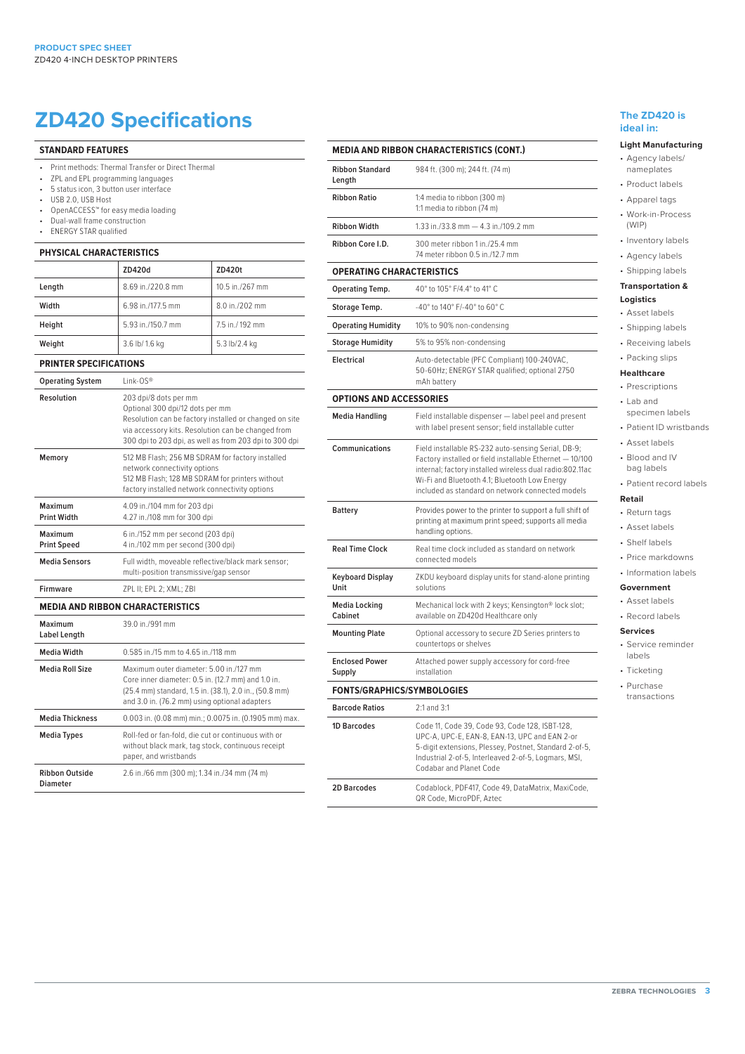# **ZD420 Specifications** The ZD420 is

#### **STANDARD FEATURES**

- Print methods: Thermal Transfer or Direct Thermal
- ZPL and EPL programming languages
- 5 status icon, 3 button user interface USB 2.0, USB Host
- OpenACCESS™ for easy media loading
- Dual-wall frame construction
- ENERGY STAR qualified

**Diameter**

### **PHYSICAL CHARACTERISTICS**

|                               | ZD420d            | ZD420t          |
|-------------------------------|-------------------|-----------------|
| Length                        | 8.69 in./220.8 mm | 10.5 in /267 mm |
| Width                         | 6.98 in./177.5 mm | 8.0 in./202 mm  |
| Height                        | 5.93 in./150.7 mm | 7.5 in./192 mm  |
| Weight                        | 3.6 lb/ 1.6 kg    | 5.3 lb/2.4 kg   |
| <b>PRINTER SPECIFICATIONS</b> |                   |                 |
| <b>Operating System</b>       | $link-OS^*$       |                 |
|                               |                   |                 |

| <b>Operating System</b>       | link-OS®                                                                                                                                                                                                                           |
|-------------------------------|------------------------------------------------------------------------------------------------------------------------------------------------------------------------------------------------------------------------------------|
| Resolution                    | 203 dpi/8 dots per mm<br>Optional 300 dpi/12 dots per mm<br>Resolution can be factory installed or changed on site<br>via accessory kits. Resolution can be changed from<br>300 dpi to 203 dpi, as well as from 203 dpi to 300 dpi |
| Memory                        | 512 MB Flash; 256 MB SDRAM for factory installed<br>network connectivity options<br>512 MB Flash; 128 MB SDRAM for printers without<br>factory installed network connectivity options                                              |
| Maximum<br><b>Print Width</b> | 4.09 in./104 mm for 203 dpi<br>4.27 in./108 mm for 300 dpi                                                                                                                                                                         |
| Maximum<br><b>Print Speed</b> | 6 in./152 mm per second (203 dpi)<br>4 in./102 mm per second (300 dpi)                                                                                                                                                             |
| <b>Media Sensors</b>          | Full width, moveable reflective/black mark sensor;<br>multi-position transmissive/gap sensor                                                                                                                                       |
| <b>Firmware</b>               | ZPL II; EPL 2; XML; ZBI                                                                                                                                                                                                            |
|                               | <b>MEDIA AND RIBBON CHARACTERISTICS</b>                                                                                                                                                                                            |
| Maximum<br>Label Length       | 39.0 in /991 mm                                                                                                                                                                                                                    |
| <b>Media Width</b>            | 0.585 in /15 mm to 4.65 in /118 mm                                                                                                                                                                                                 |
| <b>Media Roll Size</b>        | Maximum outer diameter: 5.00 in /127 mm<br>Core inner diameter: 0.5 in. (12.7 mm) and 1.0 in.<br>(25.4 mm) standard, 1.5 in. (38.1), 2.0 in., (50.8 mm)<br>and 3.0 in. (76.2 mm) using optional adapters                           |
| <b>Media Thickness</b>        | 0.003 in. (0.08 mm) min.; 0.0075 in. (0.1905 mm) max.                                                                                                                                                                              |
| <b>Media Types</b>            | Roll-fed or fan-fold, die cut or continuous with or<br>without black mark, tag stock, continuous receipt<br>paper, and wristbands                                                                                                  |
| <b>Ribbon Outside</b>         | 2.6 in./66 mm (300 m); 1.34 in./34 mm (74 m)                                                                                                                                                                                       |

#### **MEDIA AND RIBBON CHARACTERISTICS (CONT.) Ribbon Standard Length** 984 ft. (300 m); 244 ft. (74 m) **Ribbon Ratio** 1:4 media to ribbon (300 m) 1:1 media to ribbon (74 m) **Ribbon Width** 1.33 in./33.8 mm — 4.3 in./109.2 mm **Ribbon Core I.D.** 300 meter ribbon 1 in./25.4 mm 74 meter ribbon 0.5 in./12.7 mm **OPERATING CHARACTERISTICS Operating Temp.** 40° to 105° F/4.4° to 41° C **Storage Temp.**  $-40^{\circ}$  to  $140^{\circ}$  F/-40° to 60° C **Operating Humidity** 10% to 90% non-condensing **Storage Humidity** 5% to 95% non-condensing **Electrical** Auto-detectable (PFC Compliant) 100-240VAC, 50-60Hz; ENERGY STAR qualified; optional 2750 mAh battery **OPTIONS AND ACCESSORIES Media Handling** Field installable dispenser — label peel and present with label present sensor; field installable cutter **Communications** Field installable RS-232 auto-sensing Serial, DB-9; Factory installed or field installable Ethernet — 10/100 internal; factory installed wireless dual radio:802.11ac Wi-Fi and Bluetooth 4.1; Bluetooth Low Energy included as standard on network connected models **Battery** Provides power to the printer to support a full shift of printing at maximum print speed; supports all media handling options. **Real Time Clock** Real time clock included as standard on network connected models **Keyboard Display Unit** ZKDU keyboard display units for stand-alone printing solutions **Media Locking Cabinet** Mechanical lock with 2 keys; Kensington® lock slot; available on ZD420d Healthcare only **Mounting Plate** Optional accessory to secure ZD Series printers to countertops or shelves **Enclosed Power Supply** Attached power supply accessory for cord-free installation **FONTS/GRAPHICS/SYMBOLOGIES Barcode Ratios** 2:1 and 3:1 **1D Barcodes** Code 11, Code 39, Code 93, Code 128, ISBT-128, UPC-A, UPC-E, EAN-8, EAN-13, UPC and EAN 2-or

## 5-digit extensions, Plessey, Postnet, Standard 2-of-5, Industrial 2-of-5, Interleaved 2-of-5, Logmars, MSI, Codabar and Planet Code **2D Barcodes** Codablock, PDF417, Code 49, DataMatrix, MaxiCode, QR Code, MicroPDF, Aztec

# **ideal in:**

# **Light Manufacturing**

- Agency labels/ nameplates
- Product labels
- Apparel tags
- Work-in-Process (WIP)
- Inventory labels
- Agency labels
- Shipping labels **Transportation &**

# **Logistics**

- Asset labels
- Shipping labels
- Receiving labels
- Packing slips

#### **Healthcare**

- Prescriptions • Lab and
- specimen labels
- Patient ID wristbands
- Asset labels
- Blood and IV bag labels

# • Patient record labels

#### **Retail** • Return tags

- Asset labels
- Shelf labels
- Price markdowns
- Information labels

#### **Government**

- Asset labels
- Record labels

#### **Services**

- Service reminder labels
- Ticketing
- Purchase transactions